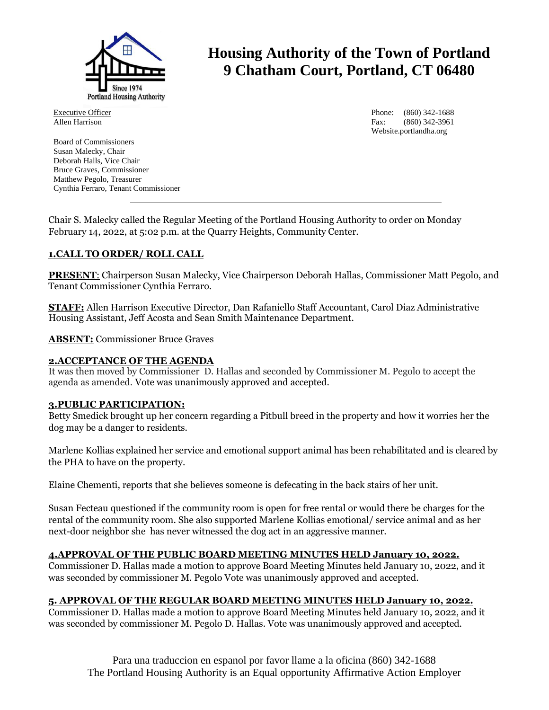

**Housing Authority of the Town of Portland 9 Chatham Court, Portland, CT 06480**

Executive Officer Allen Harrison

Board of Commissioners Susan Malecky, Chair Deborah Halls, Vice Chair Bruce Graves, Commissioner Matthew Pegolo, Treasurer Cynthia Ferraro, Tenant Commissioner Phone: (860) 342-1688 Fax: (860) 342-3961 Website.portlandha.org

Chair S. Malecky called the Regular Meeting of the Portland Housing Authority to order on Monday February 14, 2022, at 5:02 p.m. at the Quarry Heights, Community Center.

# **1.CALL TO ORDER/ ROLL CALL**

**PRESENT**: Chairperson Susan Malecky, Vice Chairperson Deborah Hallas, Commissioner Matt Pegolo, and Tenant Commissioner Cynthia Ferraro.

**STAFF:** Allen Harrison Executive Director, Dan Rafaniello Staff Accountant, Carol Diaz Administrative Housing Assistant, Jeff Acosta and Sean Smith Maintenance Department.

**ABSENT:** Commissioner Bruce Graves

### **2.ACCEPTANCE OF THE AGENDA**

It was then moved by Commissioner D. Hallas and seconded by Commissioner M. Pegolo to accept the agenda as amended. Vote was unanimously approved and accepted.

# **3.PUBLIC PARTICIPATION:**

Betty Smedick brought up her concern regarding a Pitbull breed in the property and how it worries her the dog may be a danger to residents.

Marlene Kollias explained her service and emotional support animal has been rehabilitated and is cleared by the PHA to have on the property.

Elaine Chementi, reports that she believes someone is defecating in the back stairs of her unit.

Susan Fecteau questioned if the community room is open for free rental or would there be charges for the rental of the community room. She also supported Marlene Kollias emotional/ service animal and as her next-door neighbor she has never witnessed the dog act in an aggressive manner.

### **4.APPROVAL OF THE PUBLIC BOARD MEETING MINUTES HELD January 10, 2022.**

Commissioner D. Hallas made a motion to approve Board Meeting Minutes held January 10, 2022, and it was seconded by commissioner M. Pegolo Vote was unanimously approved and accepted.

# **5. APPROVAL OF THE REGULAR BOARD MEETING MINUTES HELD January 10, 2022.**

Commissioner D. Hallas made a motion to approve Board Meeting Minutes held January 10, 2022, and it was seconded by commissioner M. Pegolo D. Hallas. Vote was unanimously approved and accepted.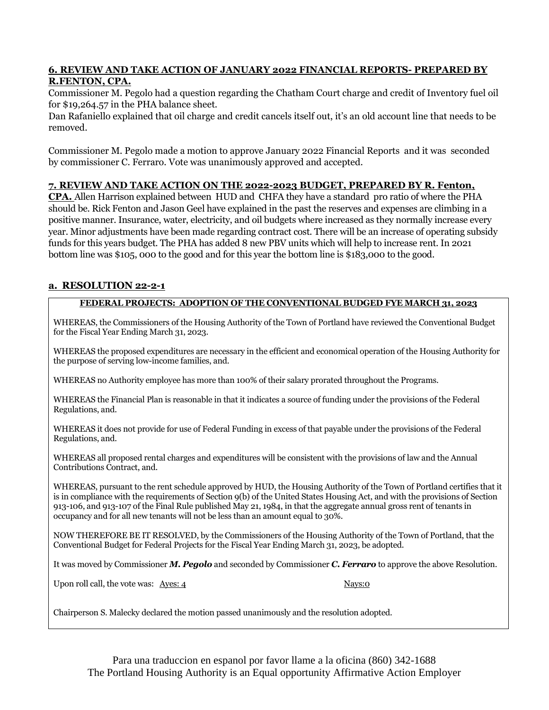## **6. REVIEW AND TAKE ACTION OF JANUARY 2022 FINANCIAL REPORTS- PREPARED BY R.FENTON, CPA.**

Commissioner M. Pegolo had a question regarding the Chatham Court charge and credit of Inventory fuel oil for \$19,264.57 in the PHA balance sheet.

Dan Rafaniello explained that oil charge and credit cancels itself out, it's an old account line that needs to be removed.

Commissioner M. Pegolo made a motion to approve January 2022 Financial Reports and it was seconded by commissioner C. Ferraro. Vote was unanimously approved and accepted.

## **7. REVIEW AND TAKE ACTION ON THE 2022-2023 BUDGET, PREPARED BY R. Fenton,**

**CPA.** Allen Harrison explained between HUD and CHFA they have a standard pro ratio of where the PHA should be. Rick Fenton and Jason Geel have explained in the past the reserves and expenses are climbing in a positive manner. Insurance, water, electricity, and oil budgets where increased as they normally increase every year. Minor adjustments have been made regarding contract cost. There will be an increase of operating subsidy funds for this years budget. The PHA has added 8 new PBV units which will help to increase rent. In 2021 bottom line was \$105, 000 to the good and for this year the bottom line is \$183,000 to the good.

# **a. RESOLUTION 22-2-1**

## **FEDERAL PROJECTS: ADOPTION OF THE CONVENTIONAL BUDGED FYE MARCH 31, 2023**

WHEREAS, the Commissioners of the Housing Authority of the Town of Portland have reviewed the Conventional Budget for the Fiscal Year Ending March 31, 2023.

WHEREAS the proposed expenditures are necessary in the efficient and economical operation of the Housing Authority for the purpose of serving low-income families, and.

WHEREAS no Authority employee has more than 100% of their salary prorated throughout the Programs.

WHEREAS the Financial Plan is reasonable in that it indicates a source of funding under the provisions of the Federal Regulations, and.

WHEREAS it does not provide for use of Federal Funding in excess of that payable under the provisions of the Federal Regulations, and.

WHEREAS all proposed rental charges and expenditures will be consistent with the provisions of law and the Annual Contributions Contract, and.

WHEREAS, pursuant to the rent schedule approved by HUD, the Housing Authority of the Town of Portland certifies that it is in compliance with the requirements of Section 9(b) of the United States Housing Act, and with the provisions of Section 913-106, and 913-107 of the Final Rule published May 21, 1984, in that the aggregate annual gross rent of tenants in occupancy and for all new tenants will not be less than an amount equal to 30%.

NOW THEREFORE BE IT RESOLVED, by the Commissioners of the Housing Authority of the Town of Portland, that the Conventional Budget for Federal Projects for the Fiscal Year Ending March 31, 2023, be adopted.

It was moved by Commissioner *M. Pegolo* and seconded by Commissioner *C. Ferraro* to approve the above Resolution.

Upon roll call, the vote was: Ayes: 4 Nays: 0

Chairperson S. Malecky declared the motion passed unanimously and the resolution adopted.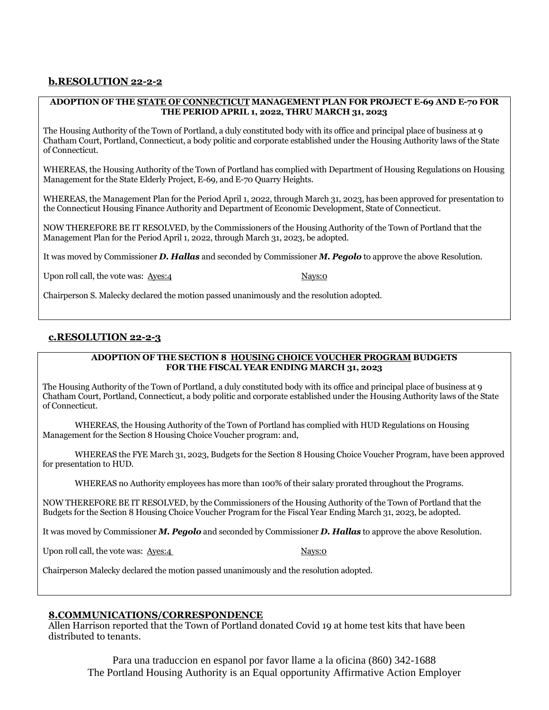# **b.RESOLUTION 22-2-2**

#### **ADOPTION OF THE STATE OF CONNECTICUT MANAGEMENT PLAN FOR PROJECT E-69 AND E-70 FOR THE PERIOD APRIL 1, 2022, THRU MARCH 31, 2023**

The Housing Authority of the Town of Portland, a duly constituted body with its office and principal place of business at 9 Chatham Court, Portland, Connecticut, a body politic and corporate established under the Housing Authority laws of the State of Connecticut.

WHEREAS, the Housing Authority of the Town of Portland has complied with Department of Housing Regulations on Housing Management for the State Elderly Project, E-69, and E-70 Quarry Heights.

WHEREAS, the Management Plan for the Period April 1, 2022, through March 31, 2023, has been approved for presentation to the Connecticut Housing Finance Authority and Department of Economic Development, State of Connecticut.

NOW THEREFORE BE IT RESOLVED, by the Commissioners of the Housing Authority of the Town of Portland that the Management Plan for the Period April 1, 2022, through March 31, 2023, be adopted.

It was moved by Commissioner *D. Hallas* and seconded by Commissioner *M. Pegolo* to approve the above Resolution.

Upon roll call, the vote was:  $\frac{\text{Aves:4}}{4}$ 

Chairperson S. Malecky declared the motion passed unanimously and the resolution adopted.

## **c.RESOLUTION 22-2-3**

#### **ADOPTION OF THE SECTION 8 HOUSING CHOICE VOUCHER PROGRAM BUDGETS FOR THE FISCAL YEAR ENDING MARCH 31, 2023**

The Housing Authority of the Town of Portland, a duly constituted body with its office and principal place of business at 9 Chatham Court, Portland, Connecticut, a body politic and corporate established under the Housing Authority laws of the State of Connecticut.

WHEREAS, the Housing Authority of the Town of Portland has complied with HUD Regulations on Housing Management for the Section 8 Housing Choice Voucher program: and,

WHEREAS the FYE March 31, 2023, Budgets for the Section 8 Housing Choice Voucher Program, have been approved for presentation to HUD.

WHEREAS no Authority employees has more than 100% of their salary prorated throughout the Programs.

NOW THEREFORE BE IT RESOLVED, by the Commissioners of the Housing Authority of the Town of Portland that the Budgets for the Section 8 Housing Choice Voucher Program for the Fiscal Year Ending March 31, 2023, be adopted.

It was moved by Commissioner *M. Pegolo* and seconded by Commissioner *D. Hallas* to approve the above Resolution.

Upon roll call, the vote was: Ayes:4 Nays:0

Chairperson Malecky declared the motion passed unanimously and the resolution adopted.

### **8.COMMUNICATIONS/CORRESPONDENCE**

Allen Harrison reported that the Town of Portland donated Covid 19 at home test kits that have been distributed to tenants.